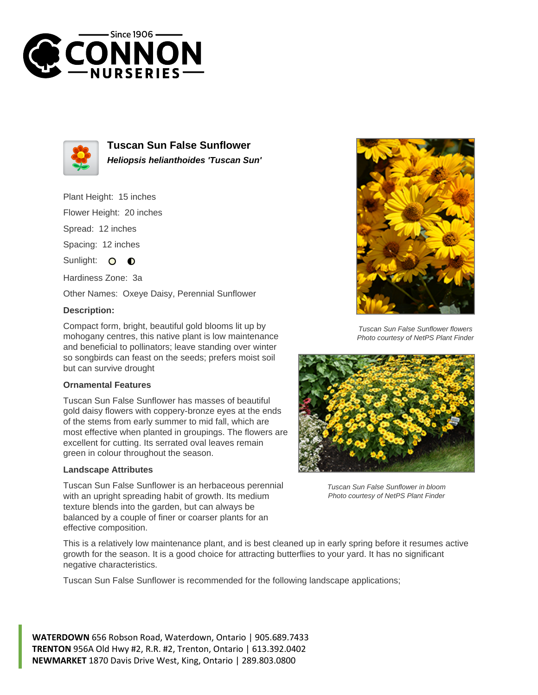



**Tuscan Sun False Sunflower Heliopsis helianthoides 'Tuscan Sun'**

Plant Height: 15 inches

Flower Height: 20 inches

Spread: 12 inches

Spacing: 12 inches

Sunlight: O  $\bullet$ 

Hardiness Zone: 3a

Other Names: Oxeye Daisy, Perennial Sunflower

## **Description:**

Compact form, bright, beautiful gold blooms lit up by mohogany centres, this native plant is low maintenance and beneficial to pollinators; leave standing over winter so songbirds can feast on the seeds; prefers moist soil but can survive drought

## **Ornamental Features**

Tuscan Sun False Sunflower has masses of beautiful gold daisy flowers with coppery-bronze eyes at the ends of the stems from early summer to mid fall, which are most effective when planted in groupings. The flowers are excellent for cutting. Its serrated oval leaves remain green in colour throughout the season.

## **Landscape Attributes**

Tuscan Sun False Sunflower is an herbaceous perennial with an upright spreading habit of growth. Its medium texture blends into the garden, but can always be balanced by a couple of finer or coarser plants for an effective composition.



Tuscan Sun False Sunflower flowers Photo courtesy of NetPS Plant Finder



Tuscan Sun False Sunflower in bloom Photo courtesy of NetPS Plant Finder

This is a relatively low maintenance plant, and is best cleaned up in early spring before it resumes active growth for the season. It is a good choice for attracting butterflies to your yard. It has no significant negative characteristics.

Tuscan Sun False Sunflower is recommended for the following landscape applications;

**WATERDOWN** 656 Robson Road, Waterdown, Ontario | 905.689.7433 **TRENTON** 956A Old Hwy #2, R.R. #2, Trenton, Ontario | 613.392.0402 **NEWMARKET** 1870 Davis Drive West, King, Ontario | 289.803.0800